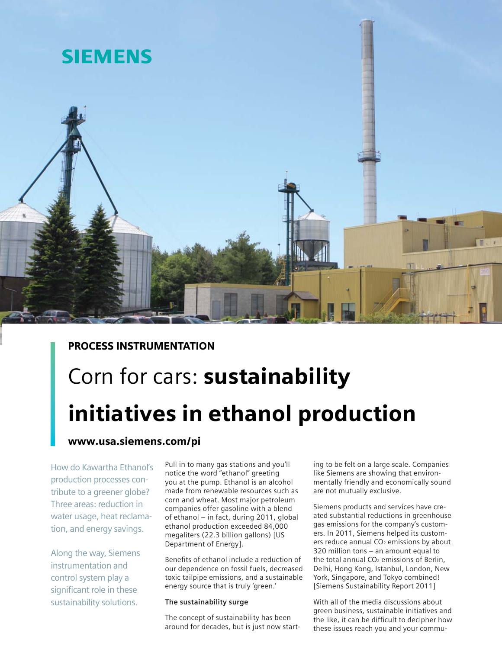

## PROCESS INSTRUMENTATION

# Corn for cars: sustainability initiatives in ethanol production

### www.usa.siemens.com/pi

How do Kawartha Ethanol's production processes contribute to a greener globe? Three areas: reduction in water usage, heat reclamation, and energy savings.

Along the way, Siemens instrumentation and control system play a significant role in these sustainability solutions.

Pull in to many gas stations and you'll notice the word "ethanol" greeting you at the pump. Ethanol is an alcohol made from renewable resources such as corn and wheat. Most major petroleum companies offer gasoline with a blend of ethanol – in fact, during 2011, global ethanol production exceeded 84,000 megaliters (22.3 billion gallons) [US Department of Energy].

Benefits of ethanol include a reduction of our dependence on fossil fuels, decreased toxic tailpipe emissions, and a sustainable energy source that is truly 'green.'

#### **The sustainability surge**

The concept of sustainability has been around for decades, but is just now starting to be felt on a large scale. Companies like Siemens are showing that environmentally friendly and economically sound are not mutually exclusive.

Siemens products and services have created substantial reductions in greenhouse gas emissions for the company's customers. In 2011, Siemens helped its customers reduce annual CO<sub>2</sub> emissions by about 320 million tons – an amount equal to the total annual CO<sub>2</sub> emissions of Berlin, Delhi, Hong Kong, Istanbul, London, New York, Singapore, and Tokyo combined! [Siemens Sustainability Report 2011]

With all of the media discussions about green business, sustainable initiatives and the like, it can be difficult to decipher how these issues reach you and your commu-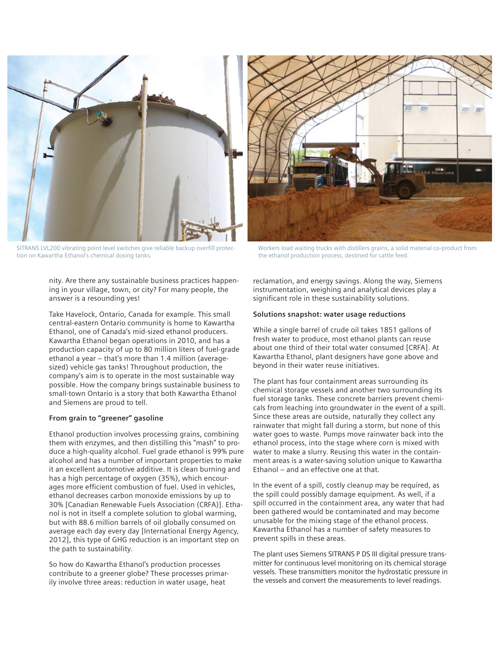

SITRANS LVL200 vibrating point level switches give reliable backup overfill protection on Kawartha Ethanol's chemical dosing tanks.

nity. Are there any sustainable business practices happening in your village, town, or city? For many people, the answer is a resounding yes!

Take Havelock, Ontario, Canada for example. This small central-eastern Ontario community is home to Kawartha Ethanol, one of Canada's mid-sized ethanol producers. Kawartha Ethanol began operations in 2010, and has a production capacity of up to 80 million liters of fuel-grade ethanol a year – that's more than 1.4 million (averagesized) vehicle gas tanks! Throughout production, the company's aim is to operate in the most sustainable way possible. How the company brings sustainable business to small-town Ontario is a story that both Kawartha Ethanol and Siemens are proud to tell.

#### **From grain to "greener" gasoline**

Ethanol production involves processing grains, combining them with enzymes, and then distilling this "mash" to produce a high-quality alcohol. Fuel grade ethanol is 99% pure alcohol and has a number of important properties to make it an excellent automotive additive. It is clean burning and has a high percentage of oxygen (35%), which encourages more efficient combustion of fuel. Used in vehicles, ethanol decreases carbon monoxide emissions by up to 30% [Canadian Renewable Fuels Association (CRFA)]. Ethanol is not in itself a complete solution to global warming, but with 88.6 million barrels of oil globally consumed on average each day every day [International Energy Agency, 2012], this type of GHG reduction is an important step on the path to sustainability.

So how do Kawartha Ethanol's production processes contribute to a greener globe? These processes primarily involve three areas: reduction in water usage, heat



Workers load waiting trucks with distillers grains, a solid material co-product from the ethanol production process, destined for cattle feed.

reclamation, and energy savings. Along the way, Siemens instrumentation, weighing and analytical devices play a significant role in these sustainability solutions.

#### **Solutions snapshot: water usage reductions**

While a single barrel of crude oil takes 1851 gallons of fresh water to produce, most ethanol plants can reuse about one third of their total water consumed [CRFA]. At Kawartha Ethanol, plant designers have gone above and beyond in their water reuse initiatives.

The plant has four containment areas surrounding its chemical storage vessels and another two surrounding its fuel storage tanks. These concrete barriers prevent chemicals from leaching into groundwater in the event of a spill. Since these areas are outside, naturally they collect any rainwater that might fall during a storm, but none of this water goes to waste. Pumps move rainwater back into the ethanol process, into the stage where corn is mixed with water to make a slurry. Reusing this water in the containment areas is a water-saving solution unique to Kawartha Ethanol – and an effective one at that.

In the event of a spill, costly cleanup may be required, as the spill could possibly damage equipment. As well, if a spill occurred in the containment area, any water that had been gathered would be contaminated and may become unusable for the mixing stage of the ethanol process. Kawartha Ethanol has a number of safety measures to prevent spills in these areas.

The plant uses Siemens SITRANS P DS III digital pressure transmitter for continuous level monitoring on its chemical storage vessels. These transmitters monitor the hydrostatic pressure in the vessels and convert the measurements to level readings.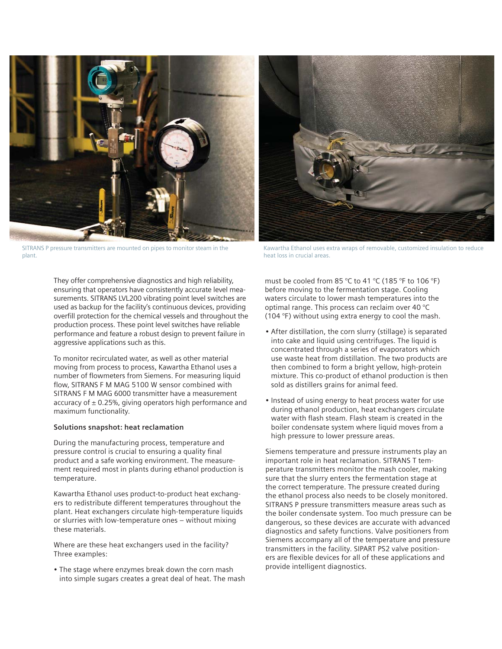

SITRANS P pressure transmitters are mounted on pipes to monitor steam in the plant.



Kawartha Ethanol uses extra wraps of removable, customized insulation to reduce heat loss in crucial areas.

They offer comprehensive diagnostics and high reliability, ensuring that operators have consistently accurate level measurements. SITRANS LVL200 vibrating point level switches are used as backup for the facility's continuous devices, providing overfill protection for the chemical vessels and throughout the production process. These point level switches have reliable performance and feature a robust design to prevent failure in aggressive applications such as this.

To monitor recirculated water, as well as other material moving from process to process, Kawartha Ethanol uses a number of flowmeters from Siemens. For measuring liquid flow, SITRANS F M MAG 5100 W sensor combined with SITRANS F M MAG 6000 transmitter have a measurement accuracy of  $\pm$  0.25%, giving operators high performance and maximum functionality.

#### **Solutions snapshot: heat reclamation**

During the manufacturing process, temperature and pressure control is crucial to ensuring a quality final product and a safe working environment. The measurement required most in plants during ethanol production is temperature.

Kawartha Ethanol uses product-to-product heat exchangers to redistribute different temperatures throughout the plant. Heat exchangers circulate high-temperature liquids or slurries with low-temperature ones – without mixing these materials.

Where are these heat exchangers used in the facility? Three examples:

• The stage where enzymes break down the corn mash into simple sugars creates a great deal of heat. The mash must be cooled from 85 °C to 41 °C (185 °F to 106 °F) before moving to the fermentation stage. Cooling waters circulate to lower mash temperatures into the optimal range. This process can reclaim over 40 °C (104 °F) without using extra energy to cool the mash.

- After distillation, the corn slurry (stillage) is separated into cake and liquid using centrifuges. The liquid is concentrated through a series of evaporators which use waste heat from distillation. The two products are then combined to form a bright yellow, high-protein mixture. This co-product of ethanol production is then sold as distillers grains for animal feed.
- Instead of using energy to heat process water for use during ethanol production, heat exchangers circulate water with flash steam. Flash steam is created in the boiler condensate system where liquid moves from a high pressure to lower pressure areas.

Siemens temperature and pressure instruments play an important role in heat reclamation. SITRANS T temperature transmitters monitor the mash cooler, making sure that the slurry enters the fermentation stage at the correct temperature. The pressure created during the ethanol process also needs to be closely monitored. SITRANS P pressure transmitters measure areas such as the boiler condensate system. Too much pressure can be dangerous, so these devices are accurate with advanced diagnostics and safety functions. Valve positioners from Siemens accompany all of the temperature and pressure transmitters in the facility. SIPART PS2 valve positioners are flexible devices for all of these applications and provide intelligent diagnostics.